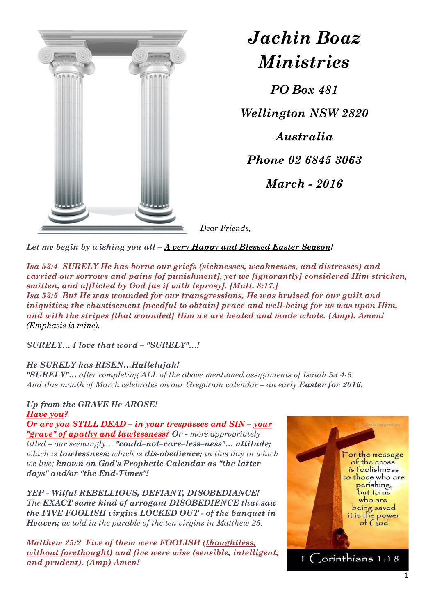

*Jachin Boaz Ministries*

*PO Box 481*

*Wellington NSW 2820*

*Australia*

*Phone 02 6845 3063*

*March - 2016*

*Dear Friends,*

*Let me begin by wishing you all – A very Happy and Blessed Easter Season!*

*Isa 53:4 SURELY He has borne our griefs (sicknesses, weaknesses, and distresses) and carried our sorrows and pains [of punishment], yet we [ignorantly] considered Him stricken, smitten, and afflicted by God [as if with leprosy]. [Matt. 8:17.] Isa 53:5 But He was wounded for our transgressions, He was bruised for our guilt and iniquities; the chastisement [needful to obtain] peace and well-being for us was upon Him, and with the stripes [that wounded] Him we are healed and made whole. (Amp). Amen! (Emphasis is mine).*

*SURELY… I love that word – "SURELY"…!*

## *He SURELY has RISEN…Hallelujah!*

*"SURELY"… after completing ALL of the above mentioned assignments of Isaiah 53:4-5. And this month of March celebrates on our Gregorian calendar – an early Easter for 2016.*

## *Up from the GRAVE He AROSE! Have you?*

*Or are you STILL DEAD – in your trespasses and SIN – your "grave" of apathy and lawlessness? Or - more appropriately titled – our seemingly… "could–not–care–less–ness"… attitude; which is lawlessness; which is dis-obedience; in this day in which we live; known on God's Prophetic Calendar as "the latter days" and/or "the End-Times"!*

*YEP - Wilful REBELLIOUS, DEFIANT, DISOBEDIANCE! The EXACT same kind of arrogant DISOBEDIENCE that saw the FIVE FOOLISH virgins LOCKED OUT - of the banquet in Heaven; as told in the parable of the ten virgins in Matthew 25.*

*Matthew 25:2 Five of them were FOOLISH (thoughtless, without forethought) and five were wise (sensible, intelligent, and prudent). (Amp) Amen!*

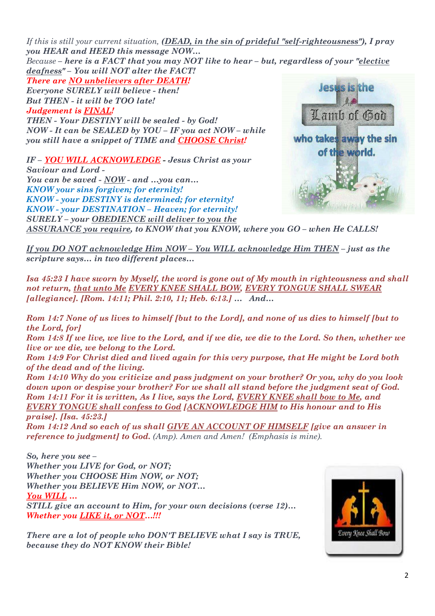*If this is still your current situation, (DEAD, in the sin of prideful "self-righteousness"), I pray you HEAR and HEED this message NOW… Because – here is a FACT that you may NOT like to hear – but, regardless of your "elective deafness" – You will NOT alter the FACT! There are NO unbelievers after DEATH!*

*Everyone SURELY will believe - then! But THEN - it will be TOO late! Judgement is FINAL! THEN - Your DESTINY will be sealed - by God! NOW - It can be SEALED by YOU – IF you act NOW – while you still have a snippet of TIME and CHOOSE Christ!*

*IF – YOU WILL ACKNOWLEDGE - Jesus Christ as your Saviour and Lord - You can be saved - NOW - and …you can… KNOW your sins forgiven; for eternity! KNOW - your DESTINY is determined; for eternity! KNOW - your DESTINATION – Heaven; for eternity! SURELY – your OBEDIENCE will deliver to you the* 



*ASSURANCE you require, to KNOW that you KNOW, where you GO – when He CALLS!*

*If you DO NOT acknowledge Him NOW – You WILL acknowledge Him THEN – just as the scripture says… in two different places…*

*Isa 45:23 I have sworn by Myself, the word is gone out of My mouth in righteousness and shall not return, that unto Me EVERY KNEE SHALL BOW, EVERY TONGUE SHALL SWEAR [allegiance]. [Rom. 14:11; Phil. 2:10, 11; Heb. 6:13.] … And…*

*Rom 14:7 None of us lives to himself [but to the Lord], and none of us dies to himself [but to the Lord, for]* 

*Rom 14:8 If we live, we live to the Lord, and if we die, we die to the Lord. So then, whether we live or we die, we belong to the Lord.* 

*Rom 14:9 For Christ died and lived again for this very purpose, that He might be Lord both of the dead and of the living.* 

*Rom 14:10 Why do you criticize and pass judgment on your brother? Or you, why do you look down upon or despise your brother? For we shall all stand before the judgment seat of God. Rom 14:11 For it is written, As I live, says the Lord, EVERY KNEE shall bow to Me, and EVERY TONGUE shall confess to God [ACKNOWLEDGE HIM to His honour and to His praise]. [Isa. 45:23.]* 

*Rom 14:12 And so each of us shall GIVE AN ACCOUNT OF HIMSELF [give an answer in reference to judgment] to God. (Amp). Amen and Amen! (Emphasis is mine).*

*So, here you see – Whether you LIVE for God, or NOT; Whether you CHOOSE Him NOW, or NOT; Whether you BELIEVE Him NOW, or NOT… You WILL … STILL give an account to Him, for your own decisions (verse 12)… Whether you LIKE it, or NOT…!!!*

*There are a lot of people who DON'T BELIEVE what I say is TRUE, because they do NOT KNOW their Bible!*

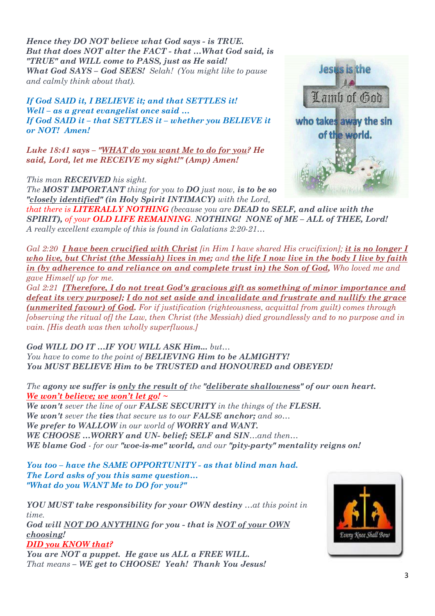*Hence they DO NOT believe what God says - is TRUE. But that does NOT alter the FACT - that …What God said, is "TRUE" and WILL come to PASS, just as He said! What God SAYS – God SEES! Selah! (You might like to pause and calmly think about that).*

*If God SAID it, I BELIEVE it; and that SETTLES it! Well – as a great evangelist once said … If God SAID it – that SETTLES it – whether you BELIEVE it or NOT! Amen!*

*Luke 18:41 says – "WHAT do you want Me to do for you? He said, Lord, let me RECEIVE my sight!" (Amp) Amen!*

*This man RECEIVED his sight.* 

*The MOST IMPORTANT thing for you to DO just now, is to be so "closely identified" (in Holy Spirit INTIMACY) with the Lord,*



*that there is LITERALLY NOTHING (because you are DEAD to SELF, and alive with the SPIRIT), of your OLD LIFE REMAINING. NOTHING! NONE of ME – ALL of THEE, Lord! A really excellent example of this is found in Galatians 2:20-21…*

*Gal 2:20 I have been crucified with Christ [in Him I have shared His crucifixion]; it is no longer I who live, but Christ (the Messiah) lives in me; and the life I now live in the body I live by faith in (by adherence to and reliance on and complete trust in) the Son of God, Who loved me and gave Himself up for me.* 

*Gal 2:21 [Therefore, I do not treat God's gracious gift as something of minor importance and defeat its very purpose]; I do not set aside and invalidate and frustrate and nullify the grace (unmerited favour) of God. For if justification (righteousness, acquittal from guilt) comes through [observing the ritual of] the Law, then Christ (the Messiah) died groundlessly and to no purpose and in vain. [His death was then wholly superfluous.]*

*God WILL DO IT …IF YOU WILL ASK Him... but… You have to come to the point of BELIEVING Him to be ALMIGHTY! You MUST BELIEVE Him to be TRUSTED and HONOURED and OBEYED!*

*The agony we suffer is only the result of the "deliberate shallowness" of our own heart. We won't believe; we won't let go! ~* 

*We won't sever the line of our FALSE SECURITY in the things of the FLESH. We won't sever the ties that secure us to our FALSE anchor; and so… We prefer to WALLOW in our world of WORRY and WANT. WE CHOOSE …WORRY and UN- belief; SELF and SIN…and then… WE blame God - for our "woe-is-me" world, and our "pity-party" mentality reigns on!* 

*You too – have the SAME OPPORTUNITY - as that blind man had. The Lord asks of you this same question… "What do you WANT Me to DO for you?"*

*YOU MUST take responsibility for your OWN destiny …at this point in time. God will NOT DO ANYTHING for you - that is NOT of your OWN* 

*choosing! DID you KNOW that?* 

*You are NOT a puppet. He gave us ALL a FREE WILL. That means – WE get to CHOOSE! Yeah! Thank You Jesus!*

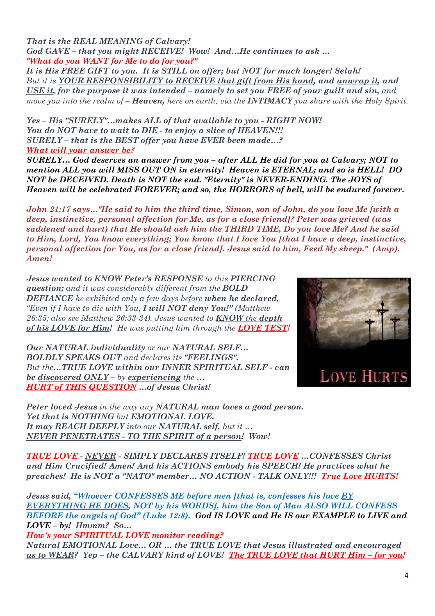*That is the REAL MEANING of Calvary! God GAVE – that you might RECEIVE! Wow! And…He continues to ask … "What do you WANT for Me to do for you?"*

*It is His FREE GIFT to you. It is STILL on offer; but NOT for much longer! Selah! But it is YOUR RESPONSIBILITY to RECEIVE that gift from His hand, and unwrap it, and USE it, for the purpose it was intended – namely to set you FREE of your guilt and sin, and move you into the realm of – Heaven, here on earth, via the INTIMACY you share with the Holy Spirit.* 

*Yes – His "SURELY"…makes ALL of that available to you - RIGHT NOW! You do NOT have to wait to DIE - to enjoy a slice of HEAVEN!!! SURELY – that is the BEST offer you have EVER been made…? What will your answer be?*

*SURELY… God deserves an answer from you – after ALL He did for you at Calvary; NOT to mention ALL you will MISS OUT ON in eternity! Heaven is ETERNAL; and so is HELL! DO NOT be DECEIVED. Death is NOT the end. "Eternity" is NEVER-ENDING. The JOYS of Heaven will be celebrated FOREVER; and so, the HORRORS of hell, will be endured forever.*

*John 21:17 says…"He said to him the third time, Simon, son of John, do you love Me [with a deep, instinctive, personal affection for Me, as for a close friend]? Peter was grieved (was saddened and hurt) that He should ask him the THIRD TIME, Do you love Me? And he said to Him, Lord, You know everything; You know that I love You [that I have a deep, instinctive, personal affection for You, as for a close friend]. Jesus said to him, Feed My sheep." (Amp). Amen!*

*Jesus wanted to KNOW Peter's RESPONSE to this PIERCING question; and it was considerably different from the BOLD DEFIANCE he exhibited only a few days before when he declared, "Even if I have to die with You, I will NOT deny You!" (Matthew 26:35; also see Matthew 26:33-34). Jesus wanted to KNOW the depth of his LOVE for Him! He was putting him through the LOVE TEST!*

*Our NATURAL individuality or our NATURAL SELF… BOLDLY SPEAKS OUT and declares its "FEELINGS". But the…TRUE LOVE within our INNER SPIRITUAL SELF - can be discovered ONLY – by experiencing the … HURT of THIS QUESTION …of Jesus Christ!*



*Peter loved Jesus in the way any NATURAL man loves a good person. Yet that is NOTHING but EMOTIONAL LOVE. It may REACH DEEPLY into our NATURAL self, but it … NEVER PENETRATES - TO THE SPIRIT of a person! Wow!*

*TRUE LOVE - NEVER - SIMPLY DECLARES ITSELF! TRUE LOVE …CONFESSES Christ and Him Crucified! Amen! And his ACTIONS embody his SPEECH! He practices what he preaches! He is NOT a "NATO" member… NO ACTION - TALK ONLY!!! True Love HURTS!*

*Jesus said, "Whoever CONFESSES ME before men [that is, confesses his love BY EVERYTHING HE DOES, NOT by his WORDS], him the Son of Man ALSO WILL CONFESS BEFORE the angels of God" (Luke 12:8). God IS LOVE and He IS our EXAMPLE to LIVE and LOVE – by! Hmmm? So…*

*How's your SPIRITUAL LOVE monitor reading?*

*Natural EMOTIONAL Love… OR … the TRUE LOVE that Jesus illustrated and encouraged us to WEAR? Yep – the CALVARY kind of LOVE! The TRUE LOVE that HURT Him – for you!*